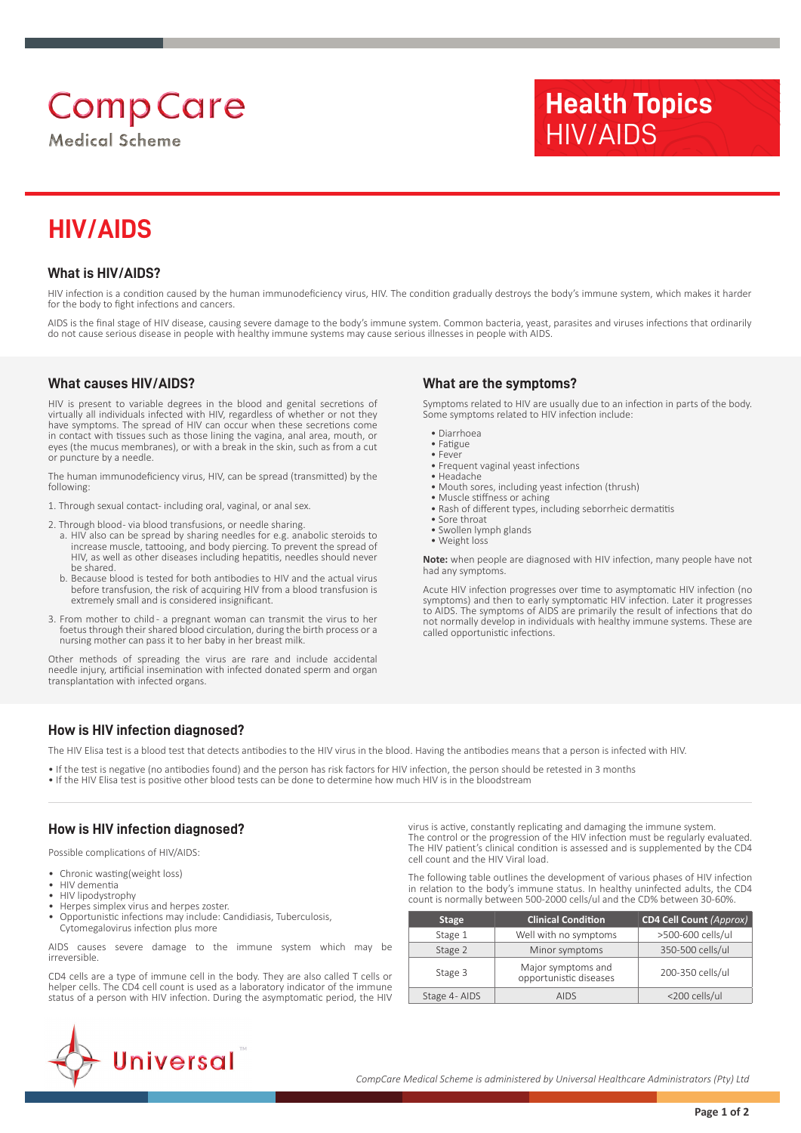# **Comp Care**

**Medical Scheme** 

## **Health Topics** HIV/AIDS

## **HIV/AIDS**

### **What is HIV/AIDS?**

HIV infection is a condition caused by the human immunodeficiency virus, HIV. The condition gradually destroys the body's immune system, which makes it harder for the body to fight infections and cancers.

AIDS is the final stage of HIV disease, causing severe damage to the body's immune system. Common bacteria, yeast, parasites and viruses infections that ordinarily do not cause serious disease in people with healthy immune systems may cause serious illnesses in people with AIDS.

### **What causes HIV/AIDS?**

HIV is present to variable degrees in the blood and genital secretions of virtually all individuals infected with HIV, regardless of whether or not they have symptoms. The spread of HIV can occur when these secretions come in contact with tissues such as those lining the vagina, anal area, mouth, or eyes (the mucus membranes), or with a break in the skin, such as from a cut or puncture by a needle.

The human immunodeficiency virus, HIV, can be spread (transmitted) by the following:

- 1. Through sexual contact- including oral, vaginal, or anal sex.
- 2. Through blood- via blood transfusions, or needle sharing.
- a. HIV also can be spread by sharing needles for e.g. anabolic steroids to increase muscle, tattooing, and body piercing. To prevent the spread of HIV, as well as other diseases including hepatitis, needles should never be shared.
- b. Because blood is tested for both antibodies to HIV and the actual virus before transfusion, the risk of acquiring HIV from a blood transfusion is extremely small and is considered insignificant.
- 3. From mother to child a pregnant woman can transmit the virus to her foetus through their shared blood circulation, during the birth process or a nursing mother can pass it to her baby in her breast milk.

Other methods of spreading the virus are rare and include accidental needle injury, artificial insemination with infected donated sperm and organ transplantation with infected organs.

### **What are the symptoms?**

Symptoms related to HIV are usually due to an infection in parts of the body. Some symptoms related to HIV infection include:

- Diarrhoea
- Fatigue
- Fever
- Frequent vaginal yeast infections
- Headache
- Mouth sores, including yeast infection (thrush) • Muscle stiffness or aching
- Rash of different types, including seborrheic dermatitis
- Sore throat
- Swollen lymph glands
- Weight loss

**Note:** when people are diagnosed with HIV infection, many people have not had any symptoms.

Acute HIV infection progresses over time to asymptomatic HIV infection (no symptoms) and then to early symptomatic HIV infection. Later it progresses to AIDS. The symptoms of AIDS are primarily the result of infections that do not normally develop in individuals with healthy immune systems. These are called opportunistic infections.

### **How is HIV infection diagnosed?**

The HIV Elisa test is a blood test that detects antibodies to the HIV virus in the blood. Having the antibodies means that a person is infected with HIV.

• If the test is negative (no antibodies found) and the person has risk factors for HIV infection, the person should be retested in 3 months • If the HIV Elisa test is positive other blood tests can be done to determine how much HIV is in the bloodstream

### **How is HIV infection diagnosed?**

Possible complications of HIV/AIDS:

- Chronic wasting(weight loss)
- HIV dementia
- HIV lipodystrophy
- Herpes simplex virus and herpes zoster. • Opportunistic infections may include: Candidiasis, Tuberculosis,
- Cytomegalovirus infection plus more

AIDS causes severe damage to the immune system which may be irreversible.

CD4 cells are a type of immune cell in the body. They are also called T cells or helper cells. The CD4 cell count is used as a laboratory indicator of the immune status of a person with HIV infection. During the asymptomatic period, the HIV

virus is active, constantly replicating and damaging the immune system. The control or the progression of the HIV infection must be regularly evaluated. The HIV patient's clinical condition is assessed and is supplemented by the CD4 cell count and the HIV Viral load.

The following table outlines the development of various phases of HIV infection in relation to the body's immune status. In healthy uninfected adults, the CD4 count is normally between 500-2000 cells/ul and the CD% between 30-60%.

| <b>Stage</b> | <b>Clinical Condition</b>                    | CD4 Cell Count (Approx) |  |
|--------------|----------------------------------------------|-------------------------|--|
| Stage 1      | Well with no symptoms                        | >500-600 cells/ul       |  |
| Stage 2      | Minor symptoms                               | 350-500 cells/ul        |  |
| Stage 3      | Major symptoms and<br>opportunistic diseases | 200-350 cells/ul        |  |
| Stage 4-AIDS | <b>AIDS</b>                                  | <200 cells/ul           |  |